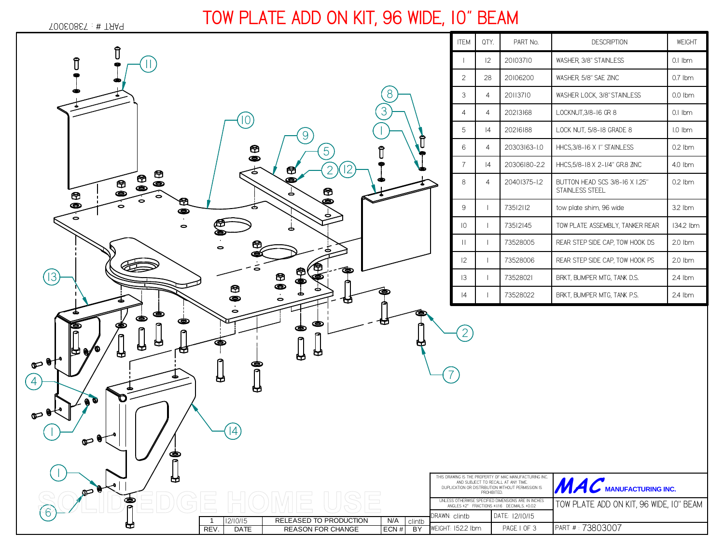

## **TOW PLATE ADD ON KIT, 96 WIDE, 10" BEAM**

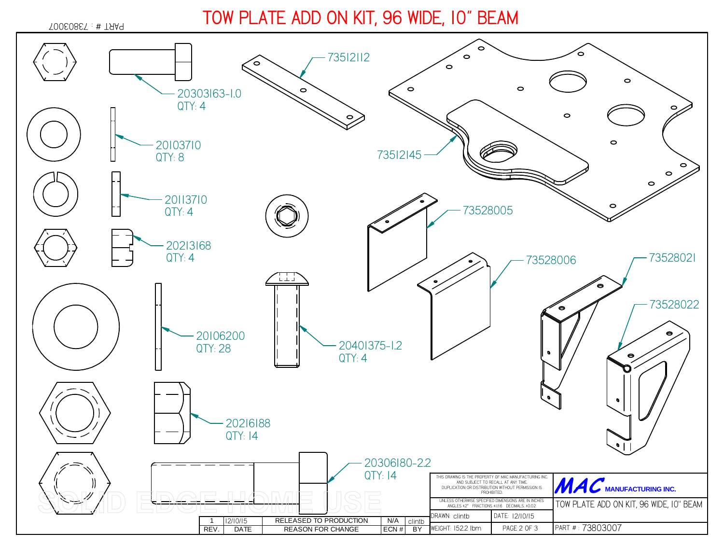## **TOW PLATE ADD ON KIT, 96 WIDE, 10" BEAM**